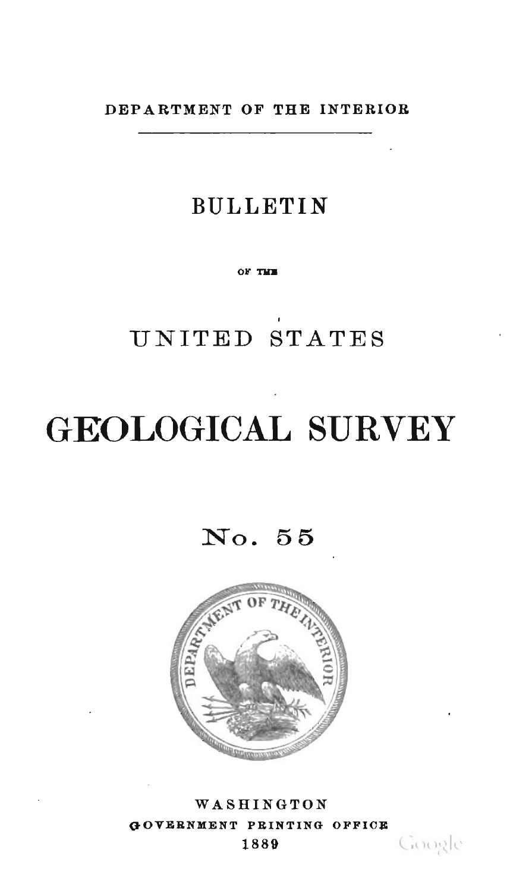DEPARTMENT OF THE INTERIOR

# **BULLETIN**

OF THE

UNITED STATES

# **GEOLOGICAL SURVEY**

No. 55



WASHINGTON GOVERNMENT PRINTING OFFICE 1889

Google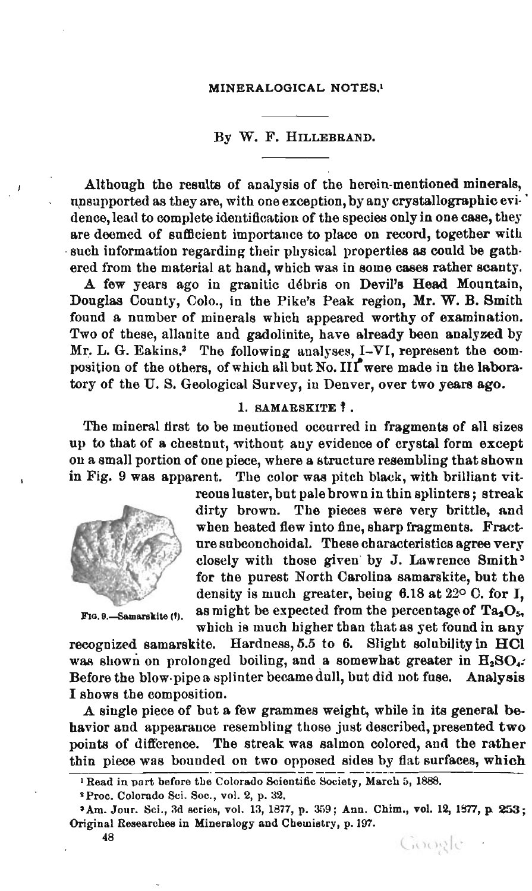#### By W. F. HILLEBRAND.

Although the results of analysis of the herein-mentioned minerals, unsupported as they are, with one exception, by any crystallographic evidence, lead to complete identification of the species only in one case, they are deemed of sufficient importance to place on record, together with such information regarding their physical properties as could be gathered from the material at hand, which was in some cases rather scanty.

A few years ago in granitic débris on Devil's Head Mountain, Douglas County, Colo., in the Pike's Peak region, Mr. W. B. Smith found a number of minerals which appeared worthy of examination. Two of these, allanite and gadolinite, have already been analyzed by Mr. L. G. Eakins.<sup>2</sup> The following analyses, I-VI, represent the composition of the others, of which all but No.  $III^{\bullet}$  were made in the laboratory of the U. S. Geological Survey, in Denver, over two years ago.

# 1. SAMARSKITE 1.

The mineral first to be mentioned occurred in fragments of all sizes up to that of a chestnut, without any evidence of crystal form except on a small portion of one piece, where a structure resembling thatshown in Fig. 9 was apparent. The color was pitch black, with brilliant vit-



reonsluster, but pale brown in thin splinters; streak dirty brown. The pieces were very brittle, and when heated flew into fine, sharp fragments. Fractnre subconchoidal. These characteristics agree very closely with those given by J. Lawrence Smith <sup>3</sup> for the purest North Carolina samarskite, but the density is much greater, being 6.18 at 220 C. for I, F1a. 9.-Samarakite (f). as might be expected from the percentage of  $Ta_3O_5$ , which is much higher than that as yet found in any

recognized samarskite. Hardness, 5.5 to 6. Slight solubility in HCl was shown on prolonged boiling, and a somewhat greater in  $H_2SO_4$ : Before the blow·pipe a splinter became dull, but did not fuse. Analysis I shows the composition.

A single piece of but a few grammes weight, while in its general behavior and appearance resembling those just described, presented two points of difterence. The streak was salmon colored, and the rather thin piece was bounded on two opposed sides by flat surfaces, which

<sup>&</sup>lt;sup>1</sup> Read in part before the Colorado Scientific Society, March 5, 1888.

<sup>&</sup>lt;sup>2</sup> Proc. Colorado Sci. Soc., vol. 2, p. 32.

<sup>&#</sup>x27;Am. Jour. Sci., 3d series, vol. 13, 1877, p. 359; Ann. Chim., vol. 12, 1877, p. 253; Original Researches in Mineralogy and Chemistry, p. 197.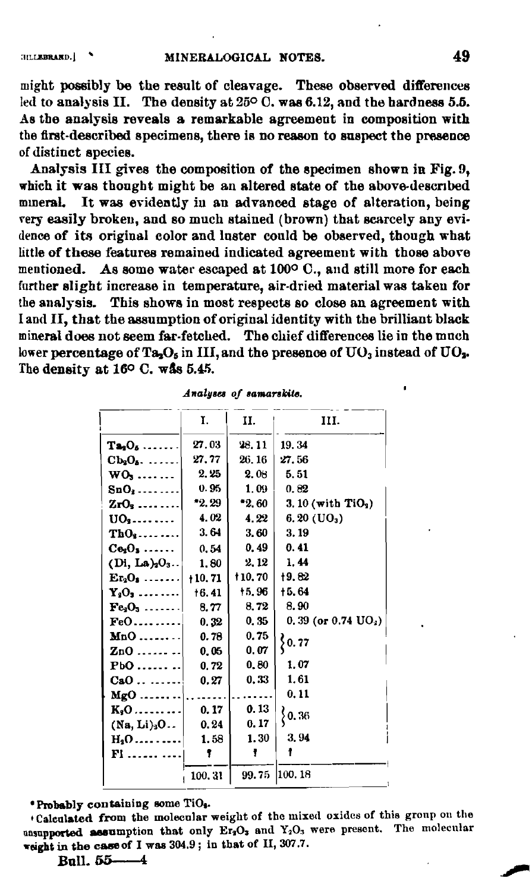might possibly be the result of cleavage. These observed differences led to analysis II. The density at  $25^{\circ}$  C, was 6.12, and the hardness 5.5. As the analysis reveals a remarkable agreement in composition with the first-described specimens, there is no reason to suspect the presence of distinct species.

Analysis III gives the composition of the specimen shown in Fig. 9, which it was thought might be an altered state of the above-described mineral. It was evidently in an advanced stage of alteration, being very easily broken, and so much stained (brown) that scarcely any evidence of its original color and luster could be observed, though what little of these features remained indicated agreement with those above mentioned. As some water escaped at 100°C., and still more for each further slight increase in temperature, air-dried material was taken for the analysis. This shows in most respects so close an agreement with I and II, that the assumption of original identity with the brilliant black mineral does not seem far-fetched. The chief differences lie in the much lower percentage of Ta<sub>2</sub>O<sub>5</sub> in III, and the presence of  $UO_3$  instead of  $UO_3$ . The density at 16° C. was 5.45.

|                         | Ï.       | н.            | III.                            |
|-------------------------|----------|---------------|---------------------------------|
| $Ta_3O_6 \ldots \ldots$ | 27.03    | 28.11         | 19.34                           |
| $Cb_3O_6 \ldots$        | 27.77    | 26, 16        | 27.56                           |
| $WO_3$                  | 2.25     | 2.08          | 5.51                            |
| $SnO3$                  | 0.95     | $1.09 -$      | 0.82                            |
| $ZrO3$                  | *2.29    | *2.60         | 3. 10 (with $TiO3$ )            |
| $UO_3$                  | 4.02     | 4.22          | $6.20 \text{ (UO}_3)$           |
| $ThO3$                  | 3.64     | 3.60          | 3.19                            |
| $Ce2O3$                 | 0.54     | 0.49          | 0.41                            |
| $(Di, La)2O3$ .         | 1.80     | 2.12          | 1.44                            |
| $Er2O3$                 | $+10.71$ | <b>t10.70</b> | 19.82                           |
| $Y_3O_3$                | 16.41    | 15.96         | +5.64                           |
| $Fe3O3$                 | 8.77     | 8.72          | 8.90                            |
| $FeO$                   | 0.32     | 0.35          | 0, 39 (or $0.74 \text{ UO}_2$ ) |
| $Mn0$                   | 0.78     | 0.75          | $\big\{0.77$                    |
| $z_{00}$                | 0.05     | 0.07          |                                 |
| $Pb0$                   | 0.72     | 0, 80         | 1.07                            |
| CaO                     | 0.27     | 0.33          | 1.61                            |
| $MgO$                   |          |               | 0.11                            |
| $K_2O$                  | 0, 17    | 0.13          | $\big\{ 0, 36$                  |
| (Na, Li) <sub>3</sub> O | 0.24     | 0.17          |                                 |
| $H_2$ O                 | 1.58     | 1.30          | 3.94                            |
| <b>Fl</b>               | ,        | Ŧ             |                                 |
|                         | 100.31   |               | 99.75 100.18                    |

Analyses of samarskite.

\*Probably containing some TiO3.

\*Calculated from the molecular weight of the mixed oxides of this group on the unsupported assumption that only Er3O3 and Y<sub>2</sub>O<sub>3</sub> were present. The molecular weight in the case of I was 304.9; in that of II, 307.7.

Bull. 55-4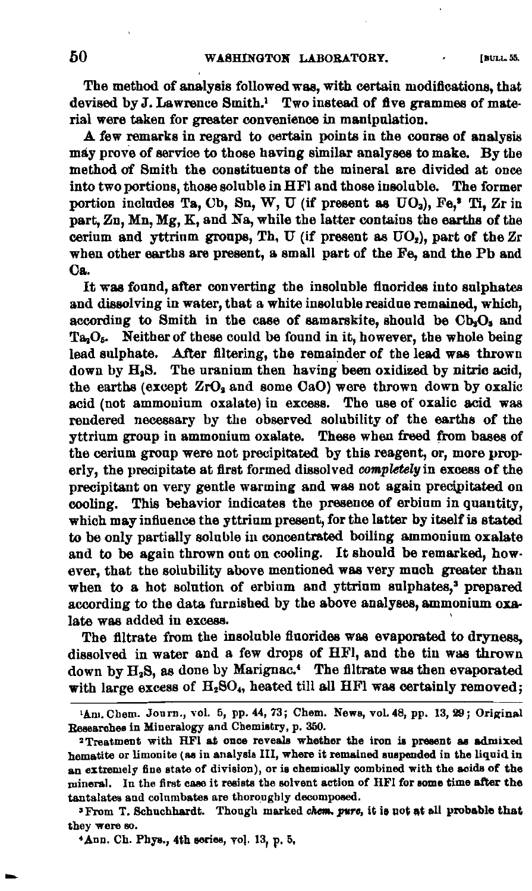The method of analysis followed was, with certain modifications, that devised by J. Lawrence Smith.<sup>1</sup> Two instead of five grammes of material were taken for greater convenience in manipulation.

A few remarks in regard to certain points in the course of analysis may prove of service to those having similar analyses to make. By the method of Smith the constituents of the mineral are divided at once into two portions, those soluble in HFI and those insoluble. The former portion includes Ta, Cb, Sn, W, U (if present as  $UO_3$ ), Fe,<sup>2</sup> Ti, Zr in part, Zn, Mn, Mg, K, and Na, while the latter contains the earths of the cerium and yttrium groups, Th, U (if present as  $UO_2$ ), part of the Zr when other earths are present, a small part of the Fe, and the Pb and Ca.

It was fonnd, after converting the insoluble fiuorides into sulphates and dissolving in water, that a white insoluble residue remained, which, according to Smith in the case of samarskite, should be  $Cb_2O_5$  and  $Ta<sub>2</sub>O<sub>6</sub>$ . Neither of these could be found in it, however, the whole being lead sulphate. After filtering, the remainder of the lead was thrown down by H<sub>2</sub>S. The uranium then having been oxidized by nitric acid, the earths (except ZrO<sub>3</sub> and some CaO) were thrown down by oxalic acid (not ammonium oxalate) in excess. The use of oxalic acid was rendered necessary by the observed solubility of the earths of the yttrium group in ammonium oxalate. These when freed from bases of the cerium group were not precipitated by this reagent, or, more properly, the precipitate at first formed dissolved *completelyin* excess of the precipitant on very gentle warming and was not again precipitated on cooling. This behavior indicates the presence of erbium in quantity, which may infiuence the yttrium present, for the latter by itself is stated to be only partially soluble in concentrated boiling ammonium oxalate and to be again thrown out on cooling. It should be remarked, however, that the solubility above mentioned was very much greater than when to a hot solution of erbium and yttrium sulphates,<sup>3</sup> prepared according to the data furnished by the above analyses, ammonium oxalate was added in excess.

The filtrate from the insoluble fiuorides was evaporated to dryness, dissolved in water and a few drops of HFI, and the tin was thrown down by  $H_2S$ , as done by Marignac.<sup>4</sup> The filtrate was then evaporated with large excess of  $H_2SO_4$ , heated till all HFl was certainly removed;

--

 $1$ Am. Chem. Journ., vol. 5, pp. 44, 73; Chem. News, vol. 48, pp. 13, 29; Original Researches in Mineralogy and Cbemistry, p. 360.

<sup>&#</sup>x27;Treatment with HFI at; once reveals whether the iron is present as admixed hematite or limonite (as in analysis III, where it remained suspended in the liquid in an extremely fine state of division), or is chemically combined witb the acids of the mineral. Iu the first case it resists tbe solvent action of HFI for some time after the tantalates and columbates are thoroughly decomposed.

<sup>&</sup>lt;sup>3</sup> From T. Schuchhardt. Though marked chem. *pure*, it is not at all probable that they were so.

<sup>&#</sup>x27;Ann. Ch. Phys., 4th series, vol. 13, p. 5,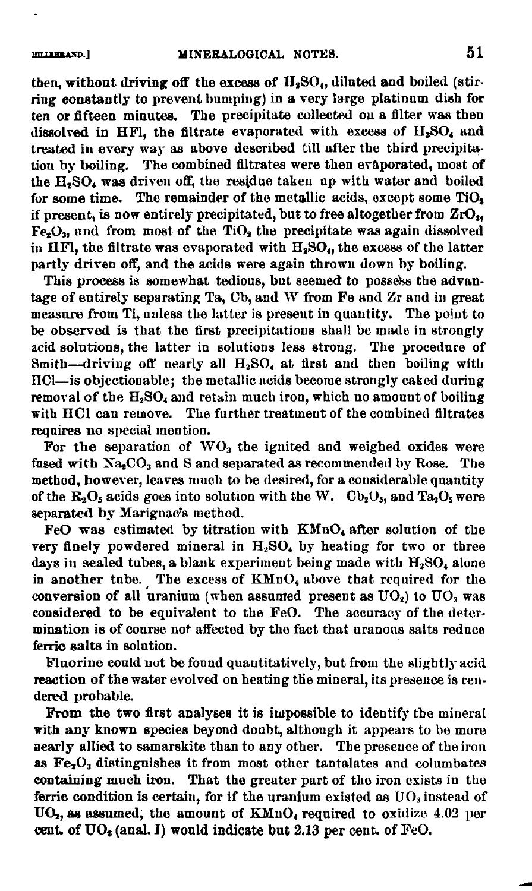#### HILLEBRAND.]

then, without driving off the excess of  $H_2SO_4$ , diluted and boiled (stirring constantly to prevent bumping) in a very large platinum dish for ten or fifteen minutes. The precipitate collected on a filter was then dissolved in HFl, the filtrate evaporated with excess of  $H_2SO_4$  and treated in every way as above described till after the third precipitation by boiling. The combined filtrates were then evaporated, most of the H.SO. was driven off, the residue taken up with water and boiled for some time. The remainder of the metallic acids, except some  $TiO<sub>2</sub>$ if present, is now entirely precipitated, but to free altogether from  $ZrO<sub>2</sub>$ ,  $Fe<sub>2</sub>O<sub>3</sub>$  and from most of the TiO<sub>2</sub> the precipitate was again dissolved in HFl, the filtrate was evaporated with  $H_2SO_4$ , the excess of the latter partly driven off, and the acids were again thrown down by boiling.

This process is somewhat tedious, but seemed to possels the advantage of entirely separating Ta,  $Cb$ , and W from Fe and  $Zr$  and in great measure from Ti, unless the latter is present in quantity. The point to be observed is that the first precipitations shall be made in strongly acid solntions, the latter in solutions less strong. The procedure of Smith--driving off nearly all  $H_2SO_4$  at first and then boiling with HCl-is objectionable; the metallic acids become strongly caked during removal of the  $H_2SO_4$  and retain much iron, which no amount of boiling with BOI can remove. The fnrther treatment of the combined filtrates requires no special mention.

For the separation of  $WO<sub>3</sub>$  the ignited and weighed oxides were fused with  $Na<sub>2</sub>CO<sub>3</sub>$  and S and separated as recommended by Rose. The method, however, leaves much to be desired, for a considerable quantity of the  $R_2O_5$  acids goes into solution with the W.  $Cb_2O_5$ , and  $Ta_2O_5$  were aeparated by Marignac's method.

FeO was estimated by titration with  $KMnO<sub>4</sub>$  after solution of the very finely powdered mineral in  $H_2SO_4$  by heating for two or three days in sealed tubes, a blank experiment being made with  $H_2SO_4$  alone in another tube. The excess of  $KMnO<sub>4</sub>$  above that required for the conversion of all uranium (when assumed present as  $UO<sub>2</sub>$ ) to  $UO<sub>3</sub>$  was considered to be equivalent to the FeO. The accuracy of the determination is of course not affected by the fact that uranous salts reduce ferric salts in solution.

Fluorine could not be found quantitatively, but from the slightly acid reaction of the water evolved on heating the mineral, its presence is rendered probable.

From the two first analyses it is impossible to identify the mineral with any known species beyond doubt, although it appears to be more nearly allied to samarskite than to any other. The presence of the iron as  $Fe<sub>2</sub>O<sub>3</sub>$  distinguishes it from most other tantalates and columbates cootaining much iron. That the greater part of the iron exists in the ferric condition is certain, for if the uranium existed as  $UO<sub>3</sub>$  instead of  $UO<sub>2</sub>$ , as assumed; the amount of  $KMnO<sub>4</sub>$  required to oxidize 4.02 per cent. of  $UO<sub>2</sub>$  (anal. I) would indicate but 2.13 per cent. of FeO.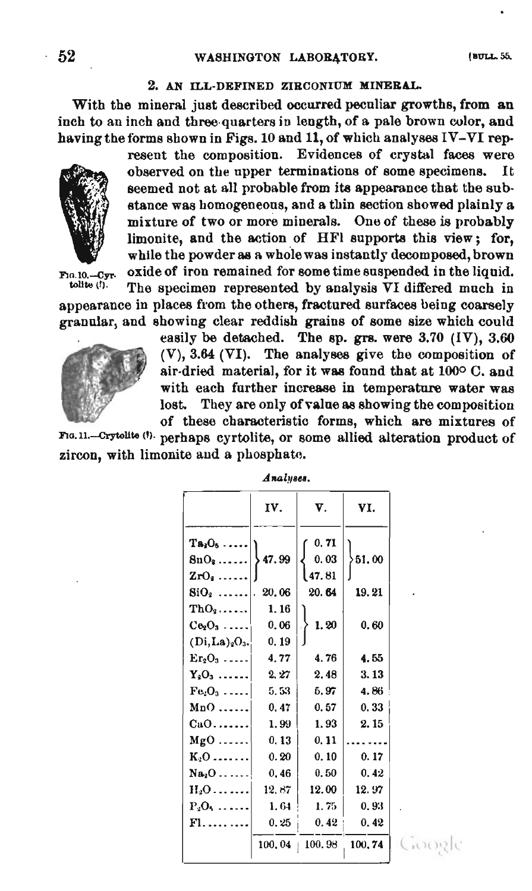#### 2. AN ILL·DEFINED ZIRCONIUM MINERAL.

With the mineral just described occurred peculiar growths, from an inch to an inch and three quarters in length, of a pale brown color, and having the forms shown in Figs. 10 and 11, of which analyses  $IV-VI$  rep-

resent the composition. Evidences of crystal faces were observed on the upper terminations of some specimens. It seemed not at all probable from its appearance that the sub· stance was homogeneous, and a thin section showed plainly a mixture of two or more minerals. One of these is probably limonite, and the action of HFI supports this view; for, while the powder as a whole was instantly decomposed, brown FIO.10.-Cyr. oxide of iron remained for some time suspended in the liquid.<br>tolite (i). The succimen represented by applysis VI differed much in The specimen represented by analysis VI differed much in

appearance in places from the others, fractured surfaces being coarsely granular, and showing clear reddish grains of some size which could

> easily be detached. The sp. grs. were  $3.70$  (IV),  $3.60$ (V), 3.64 (VI). The analyses give the composition of air-dried material, for it was found that at 100° C. and with each further increase in temperature water was lost. They are only of value as showing the composition of these characteristic forms, which are mixtures of

F1G.11.-Crytolite (f). perhaps cyrtolite, or some allied alteration product of zircon, with limonite and a phospharo.

|                                                 | IV.            | V.                       | VI.            |  |  |
|-------------------------------------------------|----------------|--------------------------|----------------|--|--|
| $Ta_3O_5 \ldots$<br>$8nO9$<br>$ZrO9$            | 47.99          | 0.71<br>0.03<br>l 47. 81 | $\}$ 51.00     |  |  |
| $\mathrm{SiO}_2$                                | 20.06          | 20.64                    | 19.21          |  |  |
| $ThO2$<br>$Ce2O3$                               | 1.16<br>0.06   | 1.20                     | 0.60           |  |  |
| (Di, La) <sub>2</sub> O <sub>3</sub><br>$Er2O3$ | 0.19<br>4.77   | 4.76                     | 4.55           |  |  |
| $Y_3O_3$<br>$Fe2O3$                             | 2,27<br>5, 53  | 2.48<br>5.97             | 3.13<br>4.86   |  |  |
| $MnO$<br>$CaO$                                  | 0.47<br>1.99   | 0.57<br>1.93             | 0.33<br>2.15   |  |  |
| $MgO$                                           | 0.13           | 0.11                     |                |  |  |
| $K_2O$<br>$Na2O$                                | 0.20<br>0.46   | 0.10<br>0.50             | 0.17<br>0.42   |  |  |
| $H_2O$<br>$P_2O_1 \ldots \ldots$                | 12.87<br>1.64  | 12.00<br>1.75            | 12.97<br>0.93  |  |  |
| Fl.                                             | 0.25<br>100.04 | 0.42<br>100.98           | 0.42<br>100.74 |  |  |
|                                                 |                |                          |                |  |  |

Google

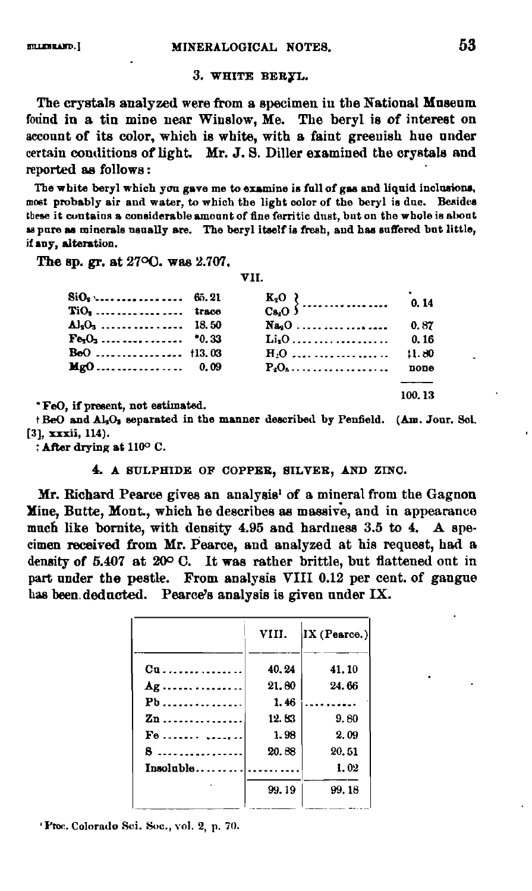## 3. WHITE BERYL.

The crystals analyzed were from a specimen in the National Museum found in a tin mine near Winslow, Me. The beryl is of interest on account of its color, which is white, with a faint greenish hue under certain conditions of light. Mr. J. S. Diller examined the crystals and reported as follows:

The white beryl which you gave me to examine is full of gas and liquid inclusions, most probably air and water, to which the light color of the beryl is due. Besides these it contains a considerable amount of fine ferritic dust, but on the whole is about as pure as minerals usually are. The beryl itself is fresh, and has suffered but little, if any, alteration.

The sp. gr. at 27<sup>o</sup>O. was 2.707.

VII.

| $TiO3$ trace          |          |        |
|-----------------------|----------|--------|
| $\Delta l_3$ ,  18.50 | $Na9O$   | 0.87   |
| $Fe1O1$ *0.33         |          | 0.16   |
| $BoO$ †13.03          |          | 11.80  |
| $Mg0$ 0.09            | $P_3Q_6$ | none   |
|                       |          |        |
|                       |          | 100.13 |

\*FeO, if present, not estimated.

+ BeO and Al<sub>2</sub>O<sub>3</sub> separated in the manner described by Penfield. (Am. Jour. Soi. [3], xxxii, 114).

: After drying at 110° C.

#### 4. A SULPHIDE OF COPPER, SILVER, AND ZINC.

Mr. Richard Pearce gives an analysis<sup>1</sup> of a mineral from the Gagnon Mine, Butte, Mont., which he describes as massive, and in appearance much like bornite, with density 4.95 and hardness 3.5 to 4. A specimen received from Mr. Pearce, and analyzed at his request, had a density of 5.407 at 20° C. It was rather brittle, but flattened ont in part under the pestle. From analysis VIII 0.12 per cent. of gangue has been deducted. Pearce's analysis is given under IX.

| VIII.                     |       | $ \mathbf{IX}$ (Pearce.) |  |  |
|---------------------------|-------|--------------------------|--|--|
|                           | 40.24 | 41.10                    |  |  |
| $Ag$                      | 21.80 | 24.66                    |  |  |
| $\mathbf{Pb}$             | 1.46  | <u>.</u>                 |  |  |
| $\mathbf{z}_{\mathbf{n}}$ | 12.83 | 9.80                     |  |  |
| $F_0$                     | 1.98  | 2.09                     |  |  |
| 8                         | 20.88 | 20.51                    |  |  |
| Insolable                 |       | 1.02                     |  |  |
|                           | 99.19 | 99.18                    |  |  |

'Proc. Colorado Sci. Soc., vol. 2, p. 70.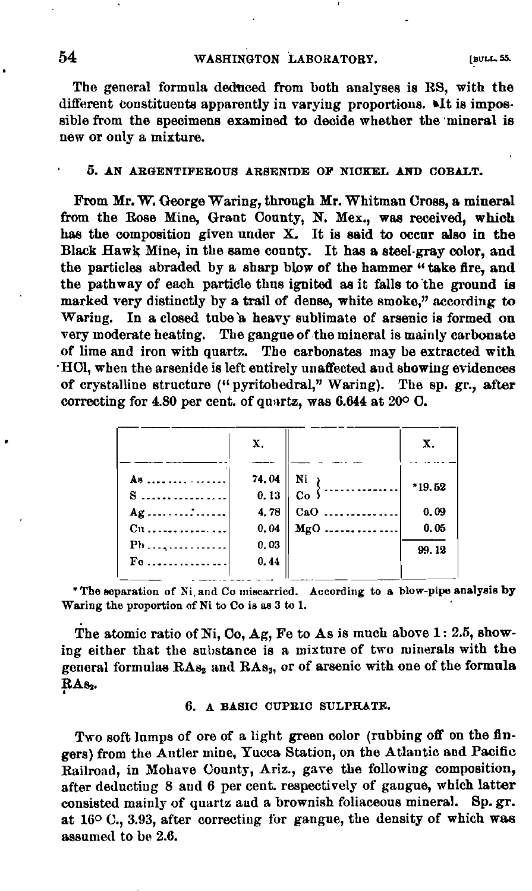The general formula deduced from both analyses is RS, with the different constituents apparently in varying proportions. MIt is impossible from the specimens examined to decide whether the mineral is new or only a mixture.

#### 5. AN ARGENTIFEROUS ARSENIDE OF NICKEL AND COBALT.

From Mr. W. George Waring, through Mr. Whitman Cross, a mineral from the Rose Mine, Grant County, N. Mex., was received, which has the composition given under  $X$ . It is said to occur also in the Black Hawk Mine, in the same county. It has a steel-gray color, and the particles abraded by a sharp blow of the hammer "take fire, and the pathway of each particle thus ignited as it falls to the ground is marked very distinctly by a trail of dense, white smoke," according to Waring. In a closed tube a heavy sublimate of arsenic is formed on very moderate heating. The gangue of the mineral is mainly carbonate of lime and iron with quartz. The carbonates may be extracted with HOl, when the arsenide is left entirely unaffected and showing evidences of crystalline structure ("pyritohedral," Waring). The sp. gr., after correcting for 4.80 per cent. of quartz, was 6.644 at 20° C.

|                        | X.            |                                              | Х.     |
|------------------------|---------------|----------------------------------------------|--------|
| As<br>8.               | 74.04<br>0.13 | $\begin{pmatrix} Ni \\ \cdots \end{pmatrix}$ | *19.52 |
| Ag :                   | 4.78          | $CaO$                                        | 0.09   |
|                        | 0.04          | $Mg0$                                        | 0.05   |
| $Pb$                   | 0.03          |                                              | 99.12  |
| $\mathbf{F}\mathbf{e}$ | 0.44          |                                              |        |

"The separation of Ni and Co miscarried. According to a blow-pipe analysis by Waring the proportion of Ni to Co is as 3 to 1.

The atomic ratio of Ni, Co, Ag, Fe to As is much above 1: 2.5, showing either that the substance is a mixture of two minerals with the general formulas RAs<sub>2</sub> and RAs<sub>3</sub>, or of arsenic with one of the formula RA<sub>82</sub>.

# 6. A BASIC CUPRIC SULPHATE.

Two soft lumps of ore of a light green color (rubbing off on the fingers) from the Antler mine, Yucca Station, on the Atlantic and Pacific Railroad, in Mohave County, Ariz., gave the following composition, after deducting 8 and 6 per cent. respectively of gangue, which latter consisted mainly of quartz and a brownish foliaceous mineral. Sp. gr. at  $16^{\circ}$  C., 3.93, after correcting for gangue, the density of which was assumed to be 2.6.